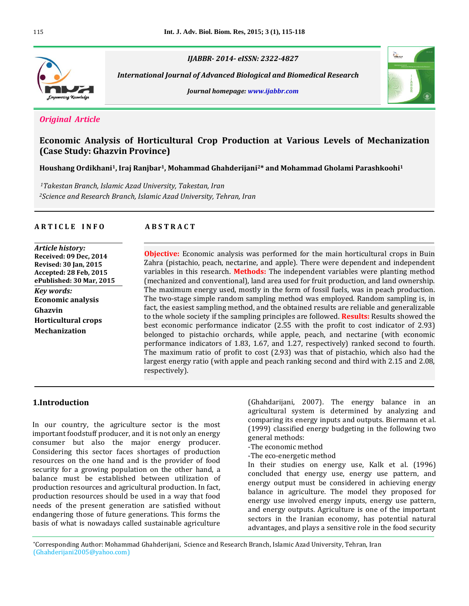

*IJABBR- 2014- eISSN: 2322-4827*

 *International Journal of Advanced Biological and Biomedical Research*





## *Original Article*

# **Economic Analysis of Horticultural Crop Production at Various Levels of Mechanization (Case Study: Ghazvin Province)**

**Houshang Ordikhani1, Iraj Ranjbar1, Mohammad Ghahderijani2\* and Mohammad Gholami Parashkoohi<sup>1</sup>**

*<sup>1</sup>Takestan Branch, Islamic Azad University, Takestan, Iran <sup>2</sup>Science and Research Branch, Islamic Azad University, Tehran, Iran*

### **A R T I C L E I N F O A B S T R A C T**

*Article history:* **Received: 09 Dec, 2014 Revised: 30 Jan, 2015 Accepted: 28 Feb, 2015 ePublished: 30 Mar, 2015** *Key words:* **Economic analysis Ghazvin Horticultural crops Mechanization**

**Objective:** Economic analysis was performed for the main horticultural crops in Buin Zahra (pistachio, peach, nectarine, and apple). There were dependent and independent variables in this research. **Methods:** The independent variables were planting method (mechanized and conventional), land area used for fruit production, and land ownership. The maximum energy used, mostly in the form of fossil fuels, was in peach production. The two-stage simple random sampling method was employed. Random sampling is, in fact, the easiest sampling method, and the obtained results are reliable and generalizable to the whole society if the sampling principles are followed. **Results:** Results showed the best economic performance indicator (2.55 with the profit to cost indicator of 2.93) belonged to pistachio orchards, while apple, peach, and nectarine (with economic performance indicators of 1.83, 1.67, and 1.27, respectively) ranked second to fourth. The maximum ratio of profit to cost (2.93) was that of pistachio, which also had the largest energy ratio (with apple and peach ranking second and third with 2.15 and 2.08, respectively).

## **1.Introduction**

In our country, the agriculture sector is the most important foodstuff producer, and it is not only an energy consumer but also the major energy producer. Considering this sector faces shortages of production resources on the one hand and is the provider of food security for a growing population on the other hand, a balance must be established between utilization of production resources and agricultural production. In fact, production resources should be used in a way that food needs of the present generation are satisfied without endangering those of future generations. This forms the basis of what is nowadays called sustainable agriculture

(Ghahdarijani, 2007). The energy balance in an agricultural system is determined by analyzing and comparing its energy inputs and outputs. Biermann et al. (1999) classified energy budgeting in the following two general methods:

- -The economic method
- -The eco-energetic method

In their studies on energy use, Kalk et al. (1996) concluded that energy use, energy use pattern, and energy output must be considered in achieving energy balance in agriculture. The model they proposed for energy use involved energy inputs, energy use pattern, and energy outputs. Agriculture is one of the important sectors in the Iranian economy, has potential natural advantages, and plays a sensitive role in the food security

\*Corresponding Author: Mohammad Ghahderijani, Science and Research Branch, Islamic Azad University, Tehran, Iran (Ghahderijani2005@yahoo.com)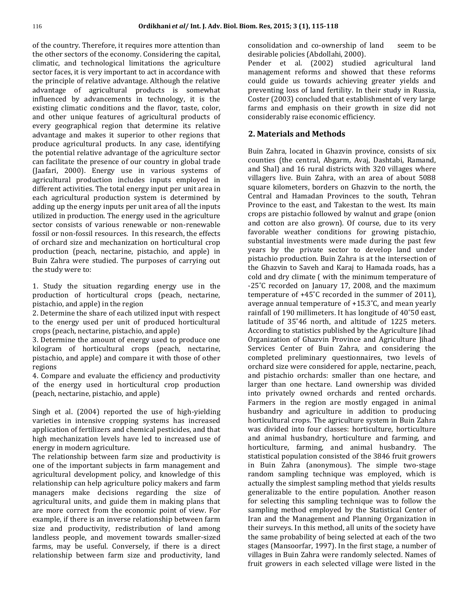of the country. Therefore, it requires more attention than the other sectors of the economy. Considering the capital, climatic, and technological limitations the agriculture sector faces, it is very important to act in accordance with the principle of relative advantage. Although the relative advantage of agricultural products is somewhat influenced by advancements in technology, it is the existing climatic conditions and the flavor, taste, color, and other unique features of agricultural products of every geographical region that determine its relative advantage and makes it superior to other regions that produce agricultural products. In any case, identifying the potential relative advantage of the agriculture sector can facilitate the presence of our country in global trade (Jaafari, 2000). Energy use in various systems of agricultural production includes inputs employed in different activities. The total energy input per unit area in each agricultural production system is determined by adding up the energy inputs per unit area of all the inputs utilized in production. The energy used in the agriculture sector consists of various renewable or non-renewable fossil or non-fossil resources. In this research, the effects of orchard size and mechanization on horticultural crop production (peach, nectarine, pistachio, and apple) in Buin Zahra were studied. The purposes of carrying out the study were to:

1. Study the situation regarding energy use in the production of horticultural crops (peach, nectarine, pistachio, and apple) in the region

2. Determine the share of each utilized input with respect to the energy used per unit of produced horticultural crops (peach, nectarine, pistachio, and apple)

3. Determine the amount of energy used to produce one kilogram of horticultural crops (peach, nectarine, pistachio, and apple) and compare it with those of other regions

4. Compare and evaluate the efficiency and productivity of the energy used in horticultural crop production (peach, nectarine, pistachio, and apple)

Singh et al. (2004) reported the use of high-yielding varieties in intensive cropping systems has increased application of fertilizers and chemical pesticides, and that high mechanization levels have led to increased use of energy in modern agriculture.

The relationship between farm size and productivity is one of the important subjects in farm management and agricultural development policy, and knowledge of this relationship can help agriculture policy makers and farm managers make decisions regarding the size of agricultural units, and guide them in making plans that are more correct from the economic point of view. For example, if there is an inverse relationship between farm size and productivity, redistribution of land among landless people, and movement towards smaller-sized farms, may be useful. Conversely, if there is a direct relationship between farm size and productivity, land

consolidation and co-ownership of land seem to be desirable policies (Abdollahi, 2000).

Pender et al. (2002) studied agricultural land management reforms and showed that these reforms could guide us towards achieving greater yields and preventing loss of land fertility. In their study in Russia, Coster (2003) concluded that establishment of very large farms and emphasis on their growth in size did not considerably raise economic efficiency.

## **2. Materials and Methods**

Buin Zahra, located in Ghazvin province, consists of six counties (the central, Abgarm, Avaj, Dashtabi, Ramand, and Shal) and 16 rural districts with 320 villages where villagers live. Buin Zahra, with an area of about 5088 square kilometers, borders on Ghazvin to the north, the Central and Hamadan Provinces to the south, Tehran Province to the east, and Takestan to the west. Its main crops are pistachio followed by walnut and grape (onion and cotton are also grown). Of course, due to its very favorable weather conditions for growing pistachio, substantial investments were made during the past few years by the private sector to develop land under pistachio production. Buin Zahra is at the intersection of the Ghazvin to Saveh and Karaj to Hamada roads, has a cold and dry climate ( with the minimum temperature of -25°C recorded on January 17, 2008, and the maximum temperature of  $+45^{\circ}$ C recorded in the summer of 2011), average annual temperature of  $+15.3^{\circ}$ C, and mean yearly rainfall of 190 millimeters. It has longitude of  $40^{\circ}50$  east, latitude of 35°46 north, and altitude of 1225 meters. According to statistics published by the Agriculture Jihad Organization of Ghazvin Province and Agriculture Jihad Services Center of Buin Zahra, and considering the completed preliminary questionnaires, two levels of orchard size were considered for apple, nectarine, peach, and pistachio orchards: smaller than one hectare, and larger than one hectare. Land ownership was divided into privately owned orchards and rented orchards. Farmers in the region are mostly engaged in animal husbandry and agriculture in addition to producing horticultural crops. The agriculture system in Buin Zahra was divided into four classes: horticulture, horticulture and animal husbandry, horticulture and farming, and horticulture, farming, and animal husbandry. The statistical population consisted of the 3846 fruit growers in Buin Zahra (anonymous). The simple two-stage random sampling technique was employed, which is actually the simplest sampling method that yields results generalizable to the entire population. Another reason for selecting this sampling technique was to follow the sampling method employed by the Statistical Center of Iran and the Management and Planning Organization in their surveys. In this method, all units of the society have the same probability of being selected at each of the two stages (Mansoorfar, 1997). In the first stage, a number of villages in Buin Zahra were randomly selected. Names of fruit growers in each selected village were listed in the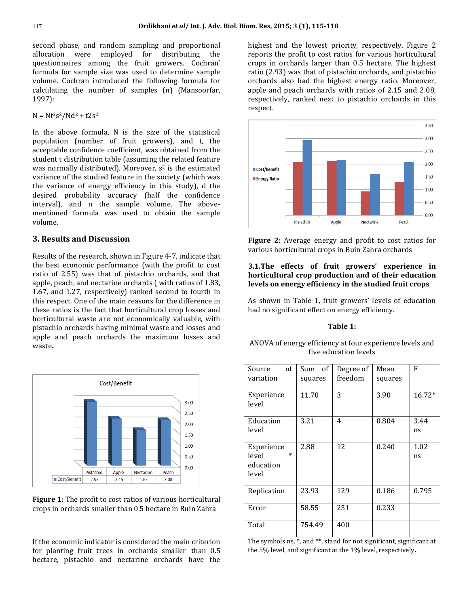second phase, and random sampling and proportional allocation were employed for distributing the questionnaires among the fruit growers. Cochran' formula for sample size was used to determine sample volume. Cochran introduced the following formula for calculating the number of samples (n) (Mansoorfar, 1997):

 $N = Nt<sup>2</sup>s<sup>2</sup>/Nd<sup>2</sup> + t2s<sup>2</sup>$ 

In the above formula, N is the size of the statistical population (number of fruit growers), and t, the acceptable confidence coefficient, was obtained from the student t distribution table (assuming the related feature was normally distributed). Moreover,  $s^2$  is the estimated variance of the studied feature in the society (which was the variance of energy efficiency in this study), d the desired probability accuracy (half the confidence interval), and n the sample volume. The abovementioned formula was used to obtain the sample volume.

## **3. Results and Discussion**

Results of the research, shown in Figure 4-7, indicate that the best economic performance (with the profit to cost ratio of 2.55) was that of pistachio orchards, and that apple, peach, and nectarine orchards ( with ratios of 1.83, 1.67, and 1.27, respectively) ranked second to fourth in this respect. One of the main reasons for the difference in these ratios is the fact that horticultural crop losses and horticultural waste are not economically valuable, with pistachio orchards having minimal waste and losses and apple and peach orchards the maximum losses and waste**.**



**Figure 1:** The profit to cost ratios of various horticultural crops in orchards smaller than 0.5 hectare in Buin Zahra

If the economic indicator is considered the main criterion for planting fruit trees in orchards smaller than 0.5 hectare, pistachio and nectarine orchards have the highest and the lowest priority, respectively. Figure 2 reports the profit to cost ratios for various horticultural crops in orchards larger than 0.5 hectare. The highest ratio (2.93) was that of pistachio orchards, and pistachio orchards also had the highest energy ratio. Moreover, apple and peach orchards with ratios of 2.15 and 2.08, respectively, ranked next to pistachio orchards in this respect.



**Figure 2:** Average energy and profit to cost ratios for various horticultural crops in Buin Zahra orchards

### **3.1.The effects of fruit growers' experience in horticultural crop production and of their education levels on energy efficiency in the studied fruit crops**

As shown in Table 1, fruit growers' levels of education had no significant effect on energy efficiency.

#### **Table 1:**

| ANOVA of energy efficiency at four experience levels and |  |
|----------------------------------------------------------|--|
| five education levels                                    |  |

| of<br>Source<br>variation                           | Sum of<br>squares | Degree of<br>freedom | Mean<br>squares | F          |
|-----------------------------------------------------|-------------------|----------------------|-----------------|------------|
| Experience<br>level                                 | 11.70             | 3                    | 3.90            | $16.72*$   |
| Education<br>level                                  | 3.21              | 4                    | 0.804           | 3.44<br>ns |
| Experience<br>$\ast$<br>level<br>education<br>level | 2.88              | 12                   | 0.240           | 1.02<br>ns |
| Replication                                         | 23.93             | 129                  | 0.186           | 0.795      |
| Error                                               | 58.55             | 251                  | 0.233           |            |
| Total                                               | 754.49            | 400                  |                 |            |

The symbols ns, \*, and \*\*, stand for not significant, significant at the 5% level, and significant at the 1% level, respectively**.**